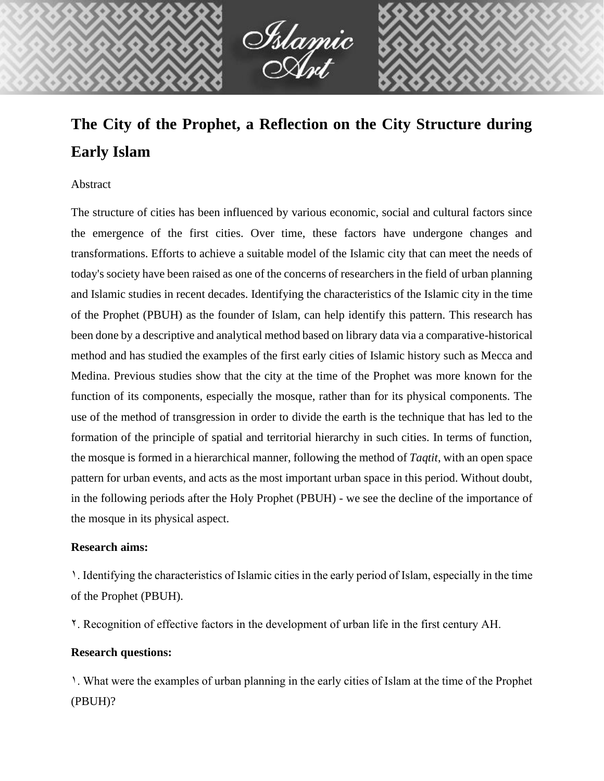

# **The City of the Prophet, a Reflection on the City Structure during Early Islam**

## Abstract

The structure of cities has been influenced by various economic, social and cultural factors since the emergence of the first cities. Over time, these factors have undergone changes and transformations. Efforts to achieve a suitable model of the Islamic city that can meet the needs of today's society have been raised as one of the concerns of researchers in the field of urban planning and Islamic studies in recent decades. Identifying the characteristics of the Islamic city in the time of the Prophet (PBUH) as the founder of Islam, can help identify this pattern. This research has been done by a descriptive and analytical method based on library data via a comparative-historical method and has studied the examples of the first early cities of Islamic history such as Mecca and Medina. Previous studies show that the city at the time of the Prophet was more known for the function of its components, especially the mosque, rather than for its physical components. The use of the method of transgression in order to divide the earth is the technique that has led to the formation of the principle of spatial and territorial hierarchy in such cities. In terms of function, the mosque is formed in a hierarchical manner, following the method of *Taqtit*, with an open space pattern for urban events, and acts as the most important urban space in this period. Without doubt, in the following periods after the Holy Prophet (PBUH) - we see the decline of the importance of the mosque in its physical aspect.

### **Research aims:**

1. Identifying the characteristics of Islamic cities in the early period of Islam, especially in the time of the Prophet (PBUH).

2. Recognition of effective factors in the development of urban life in the first century AH.

## **Research questions:**

1. What were the examples of urban planning in the early cities of Islam at the time of the Prophet (PBUH)?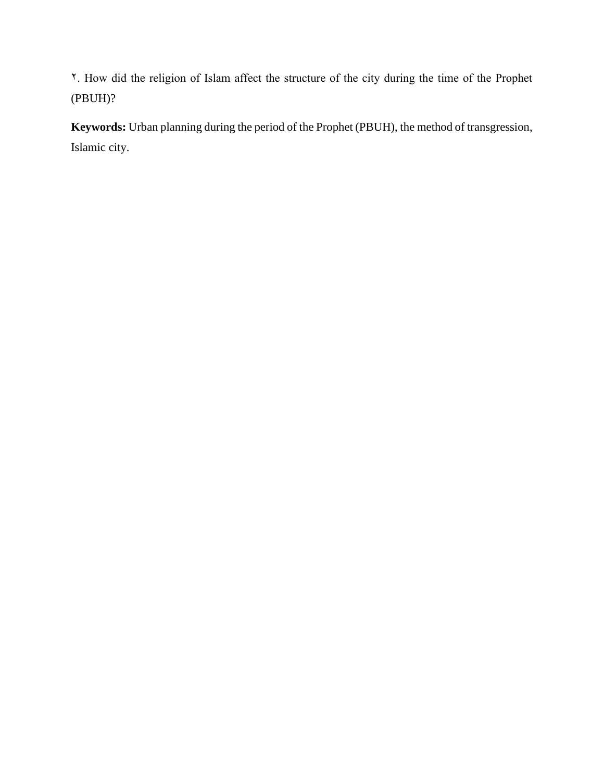2. How did the religion of Islam affect the structure of the city during the time of the Prophet (PBUH)?

**Keywords:** Urban planning during the period of the Prophet (PBUH), the method of transgression, Islamic city.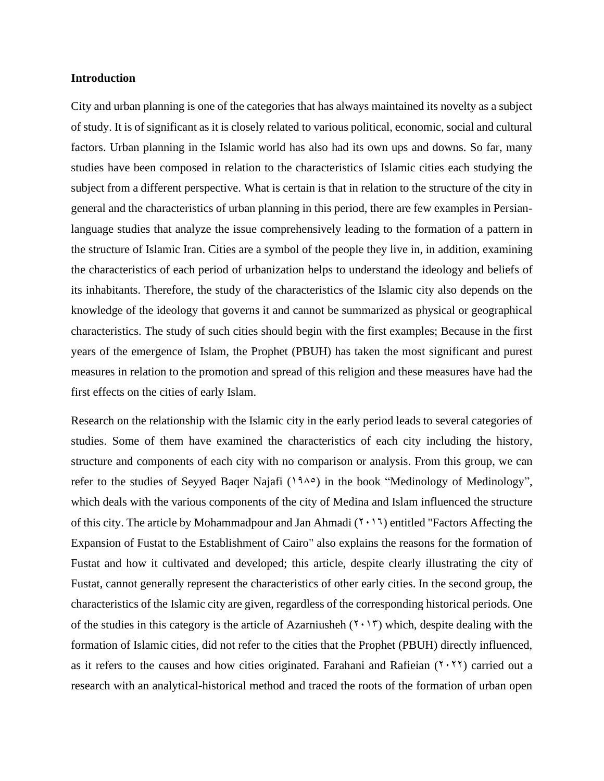### **Introduction**

City and urban planning is one of the categories that has always maintained its novelty as a subject of study. It is of significant as it is closely related to various political, economic, social and cultural factors. Urban planning in the Islamic world has also had its own ups and downs. So far, many studies have been composed in relation to the characteristics of Islamic cities each studying the subject from a different perspective. What is certain is that in relation to the structure of the city in general and the characteristics of urban planning in this period, there are few examples in Persianlanguage studies that analyze the issue comprehensively leading to the formation of a pattern in the structure of Islamic Iran. Cities are a symbol of the people they live in, in addition, examining the characteristics of each period of urbanization helps to understand the ideology and beliefs of its inhabitants. Therefore, the study of the characteristics of the Islamic city also depends on the knowledge of the ideology that governs it and cannot be summarized as physical or geographical characteristics. The study of such cities should begin with the first examples; Because in the first years of the emergence of Islam, the Prophet (PBUH) has taken the most significant and purest measures in relation to the promotion and spread of this religion and these measures have had the first effects on the cities of early Islam.

Research on the relationship with the Islamic city in the early period leads to several categories of studies. Some of them have examined the characteristics of each city including the history, structure and components of each city with no comparison or analysis. From this group, we can refer to the studies of Seyyed Baqer Najafi  $(19\lambda^{\circ})$  in the book "Medinology of Medinology", which deals with the various components of the city of Medina and Islam influenced the structure of this city. The article by Mohammadpour and Jan Ahmadi  $(1 \cdot 1)$  entitled "Factors Affecting the Expansion of Fustat to the Establishment of Cairo" also explains the reasons for the formation of Fustat and how it cultivated and developed; this article, despite clearly illustrating the city of Fustat, cannot generally represent the characteristics of other early cities. In the second group, the characteristics of the Islamic city are given, regardless of the corresponding historical periods. One of the studies in this category is the article of Azarniusheh  $(7 \cdot 17)$  which, despite dealing with the formation of Islamic cities, did not refer to the cities that the Prophet (PBUH) directly influenced, as it refers to the causes and how cities originated. Farahani and Rafieian  $(1, 1)$  carried out a research with an analytical-historical method and traced the roots of the formation of urban open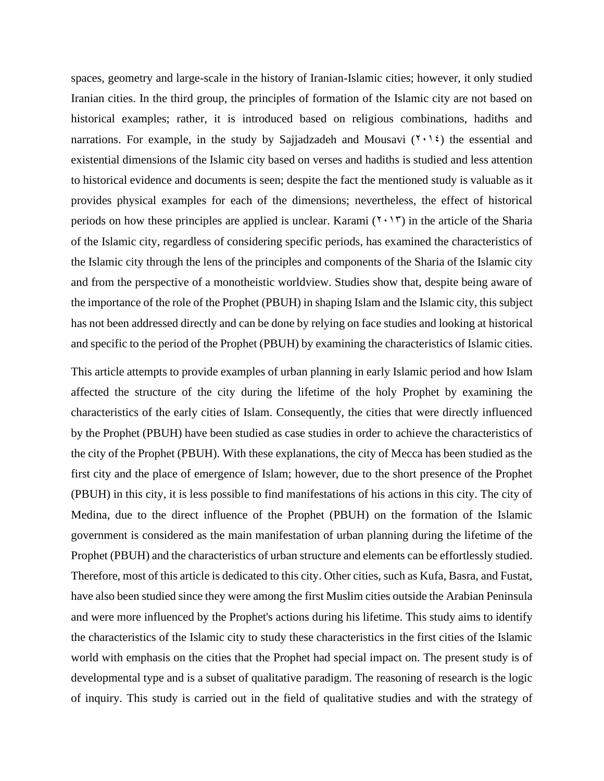spaces, geometry and large-scale in the history of Iranian-Islamic cities; however, it only studied Iranian cities. In the third group, the principles of formation of the Islamic city are not based on historical examples; rather, it is introduced based on religious combinations, hadiths and narrations. For example, in the study by Sajjadzadeh and Mousavi  $(1 \cdot 1)$  the essential and existential dimensions of the Islamic city based on verses and hadiths is studied and less attention to historical evidence and documents is seen; despite the fact the mentioned study is valuable as it provides physical examples for each of the dimensions; nevertheless, the effect of historical periods on how these principles are applied is unclear. Karami  $(1 \cdot 1)$  in the article of the Sharia of the Islamic city, regardless of considering specific periods, has examined the characteristics of the Islamic city through the lens of the principles and components of the Sharia of the Islamic city and from the perspective of a monotheistic worldview. Studies show that, despite being aware of the importance of the role of the Prophet (PBUH) in shaping Islam and the Islamic city, this subject has not been addressed directly and can be done by relying on face studies and looking at historical and specific to the period of the Prophet (PBUH) by examining the characteristics of Islamic cities.

This article attempts to provide examples of urban planning in early Islamic period and how Islam affected the structure of the city during the lifetime of the holy Prophet by examining the characteristics of the early cities of Islam. Consequently, the cities that were directly influenced by the Prophet (PBUH) have been studied as case studies in order to achieve the characteristics of the city of the Prophet (PBUH). With these explanations, the city of Mecca has been studied as the first city and the place of emergence of Islam; however, due to the short presence of the Prophet (PBUH) in this city, it is less possible to find manifestations of his actions in this city. The city of Medina, due to the direct influence of the Prophet (PBUH) on the formation of the Islamic government is considered as the main manifestation of urban planning during the lifetime of the Prophet (PBUH) and the characteristics of urban structure and elements can be effortlessly studied. Therefore, most of this article is dedicated to this city. Other cities, such as Kufa, Basra, and Fustat, have also been studied since they were among the first Muslim cities outside the Arabian Peninsula and were more influenced by the Prophet's actions during his lifetime. This study aims to identify the characteristics of the Islamic city to study these characteristics in the first cities of the Islamic world with emphasis on the cities that the Prophet had special impact on. The present study is of developmental type and is a subset of qualitative paradigm. The reasoning of research is the logic of inquiry. This study is carried out in the field of qualitative studies and with the strategy of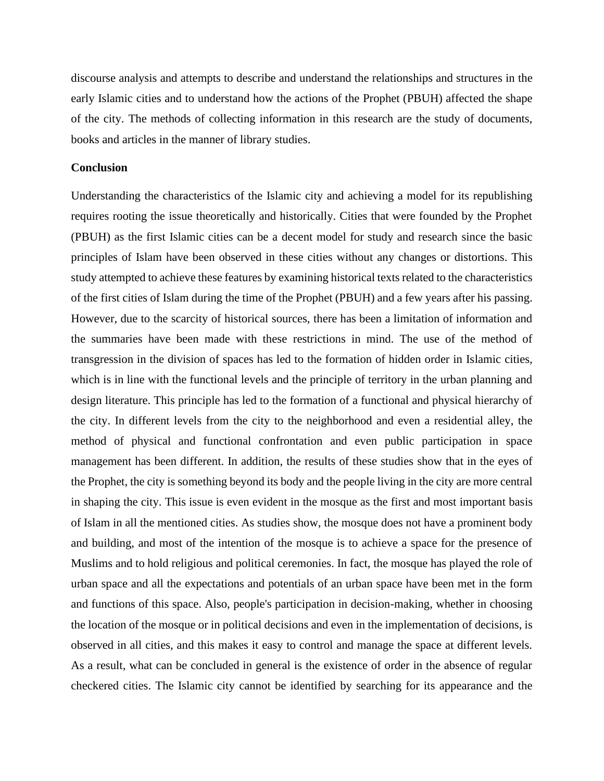discourse analysis and attempts to describe and understand the relationships and structures in the early Islamic cities and to understand how the actions of the Prophet (PBUH) affected the shape of the city. The methods of collecting information in this research are the study of documents, books and articles in the manner of library studies.

#### **Conclusion**

Understanding the characteristics of the Islamic city and achieving a model for its republishing requires rooting the issue theoretically and historically. Cities that were founded by the Prophet (PBUH) as the first Islamic cities can be a decent model for study and research since the basic principles of Islam have been observed in these cities without any changes or distortions. This study attempted to achieve these features by examining historical texts related to the characteristics of the first cities of Islam during the time of the Prophet (PBUH) and a few years after his passing. However, due to the scarcity of historical sources, there has been a limitation of information and the summaries have been made with these restrictions in mind. The use of the method of transgression in the division of spaces has led to the formation of hidden order in Islamic cities, which is in line with the functional levels and the principle of territory in the urban planning and design literature. This principle has led to the formation of a functional and physical hierarchy of the city. In different levels from the city to the neighborhood and even a residential alley, the method of physical and functional confrontation and even public participation in space management has been different. In addition, the results of these studies show that in the eyes of the Prophet, the city is something beyond its body and the people living in the city are more central in shaping the city. This issue is even evident in the mosque as the first and most important basis of Islam in all the mentioned cities. As studies show, the mosque does not have a prominent body and building, and most of the intention of the mosque is to achieve a space for the presence of Muslims and to hold religious and political ceremonies. In fact, the mosque has played the role of urban space and all the expectations and potentials of an urban space have been met in the form and functions of this space. Also, people's participation in decision-making, whether in choosing the location of the mosque or in political decisions and even in the implementation of decisions, is observed in all cities, and this makes it easy to control and manage the space at different levels. As a result, what can be concluded in general is the existence of order in the absence of regular checkered cities. The Islamic city cannot be identified by searching for its appearance and the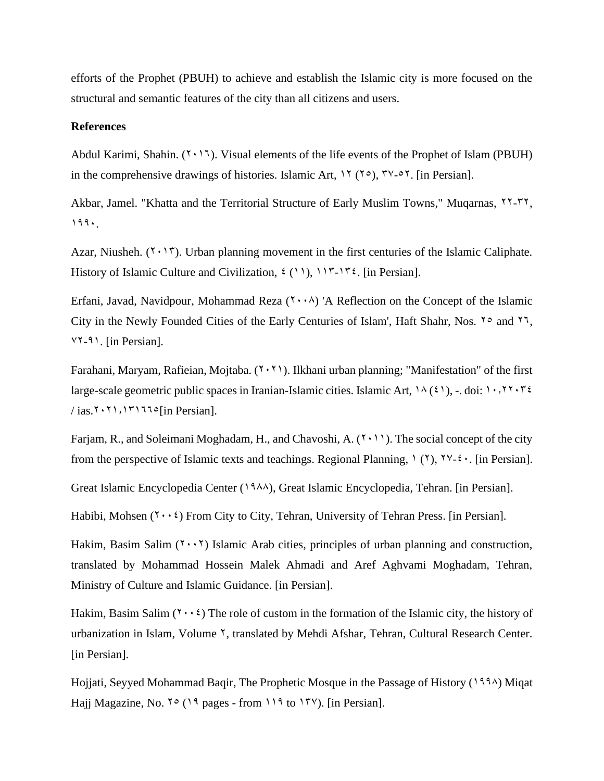efforts of the Prophet (PBUH) to achieve and establish the Islamic city is more focused on the structural and semantic features of the city than all citizens and users.

## **References**

Abdul Karimi, Shahin.  $(7 \cdot 17)$ . Visual elements of the life events of the Prophet of Islam (PBUH) in the comprehensive drawings of histories. Islamic Art,  $17 (70)$ ,  $79-07$ . [in Persian].

Akbar, Jamel. "Khatta and the Territorial Structure of Early Muslim Towns," Muqarnas,  $\gamma$ ,  $\gamma$ ,  $\gamma$ ,  $199.$ 

Azar, Niusheh.  $(1 \cdot 1)$ . Urban planning movement in the first centuries of the Islamic Caliphate. History of Islamic Culture and Civilization,  $\mathfrak{c}(\mathfrak{1})$ ,  $\mathfrak{1}\mathfrak{r}\mathfrak{-1}\mathfrak{r}\mathfrak{c}$ . [in Persian].

Erfani, Javad, Navidpour, Mohammad Reza  $(1 \cdot \cdot \cdot)$  'A Reflection on the Concept of the Islamic City in the Newly Founded Cities of the Early Centuries of Islam', Haft Shahr, Nos.  $\gamma \circ$  and  $\gamma \gamma$ , 72-91. [in Persian].

Farahani, Maryam, Rafieian, Mojtaba.  $(7 \cdot 7)$ . Ilkhani urban planning; "Manifestation" of the first large-scale geometric public spaces in Iranian-Islamic cities. Islamic Art,  $\lambda(\xi)$ , -. doi:  $\lambda$ ,  $\lambda$ r $\lambda$ r $\xi$  $/$  ias.<sup>2</sup>  $\cdot$ <sup>2</sup>1.1717<sup>o</sup>[in Persian].

Farjam, R., and Soleimani Moghadam, H., and Chavoshi, A.  $(1 \cdot 1)$ . The social concept of the city from the perspective of Islamic texts and teachings. Regional Planning,  $\gamma(\gamma)$ ,  $\gamma \gamma$ - $\zeta \cdot$ . [in Persian].

Great Islamic Encyclopedia Center (1988), Great Islamic Encyclopedia, Tehran. [in Persian].

Habibi, Mohsen  $(1 \cdot \cdot \cdot)$  From City to City, Tehran, University of Tehran Press. [in Persian].

Hakim, Basim Salim  $(2 \cdot \cdot \cdot)$  Islamic Arab cities, principles of urban planning and construction, translated by Mohammad Hossein Malek Ahmadi and Aref Aghvami Moghadam, Tehran, Ministry of Culture and Islamic Guidance. [in Persian].

Hakim, Basim Salim  $(7 \cdot \cdot \cdot)$  The role of custom in the formation of the Islamic city, the history of urbanization in Islam, Volume <sup>Y</sup>, translated by Mehdi Afshar, Tehran, Cultural Research Center. [in Persian].

Hojjati, Seyyed Mohammad Baqir, The Prophetic Mosque in the Passage of History (1994) Miqat Hajj Magazine, No.  $\sqrt{9}$  (19 pages - from 119 to 157). [in Persian].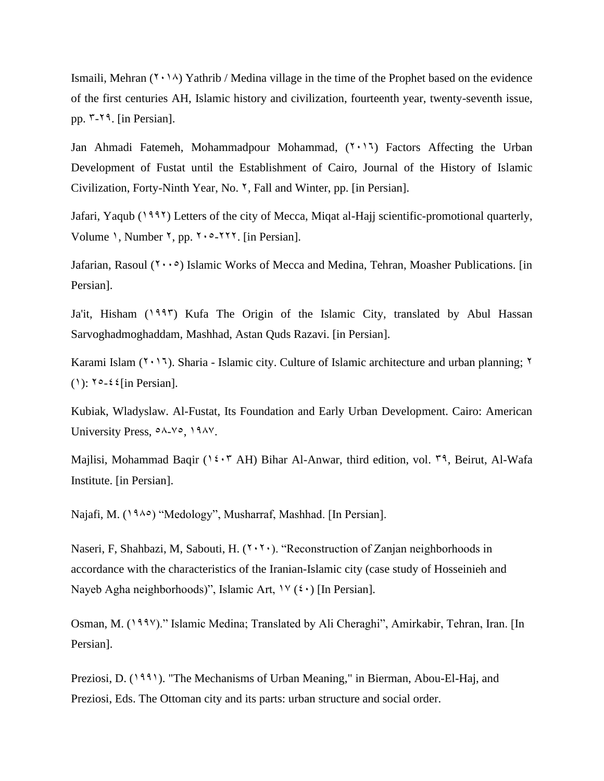Ismaili, Mehran  $(Y \cdot \wedge Y)$  Yathrib / Medina village in the time of the Prophet based on the evidence of the first centuries AH, Islamic history and civilization, fourteenth year, twenty-seventh issue, pp.  $\mathsf{r}$ -19. [in Persian].

Jan Ahmadi Fatemeh, Mohammadpour Mohammad,  $(2 \cdot 1)$  Factors Affecting the Urban Development of Fustat until the Establishment of Cairo, Journal of the History of Islamic Civilization, Forty-Ninth Year, No. 2, Fall and Winter, pp. [in Persian].

Jafari, Yaqub (1993) Letters of the city of Mecca, Miqat al-Hajj scientific-promotional quarterly, Volume 1, Number  $\zeta$ , pp.  $\zeta \cdot 2.5$ . [in Persian].

Jafarian, Rasoul  $(1 \cdot \cdot \circ)$  Islamic Works of Mecca and Medina, Tehran, Moasher Publications. [in Persian].

Ja'it, Hisham (1997) Kufa The Origin of the Islamic City, translated by Abul Hassan Sarvoghadmoghaddam, Mashhad, Astan Quds Razavi. [in Persian].

Karami Islam ( $\gamma$ ,  $\gamma$ ). Sharia - Islamic city. Culture of Islamic architecture and urban planning;  $\gamma$ (1):  $\sqrt{0.26}$  {[in Persian].

Kubiak, Wladyslaw. Al-Fustat, Its Foundation and Early Urban Development. Cairo: American University Press,  $0^{\circ}$ A-Yo, 1987.

Majlisi, Mohammad Baqir (1508 AH) Bihar Al-Anwar, third edition, vol.  $79$ , Beirut, Al-Wafa Institute. [in Persian].

Najafi, M. (1986) "Medology", Musharraf, Mashhad. [In Persian].

Naseri, F, Shahbazi, M, Sabouti, H.  $(7.7)$ . "Reconstruction of Zanjan neighborhoods in accordance with the characteristics of the Iranian-Islamic city (case study of Hosseinieh and Nayeb Agha neighborhoods)", Islamic Art,  $\forall$  ( $\leftrightarrow$ ) [In Persian].

Osman, M. (1997)." Islamic Medina; Translated by Ali Cheraghi", Amirkabir, Tehran, Iran. [In Persian].

Preziosi, D. (1991). "The Mechanisms of Urban Meaning," in Bierman, Abou-El-Haj, and Preziosi, Eds. The Ottoman city and its parts: urban structure and social order.